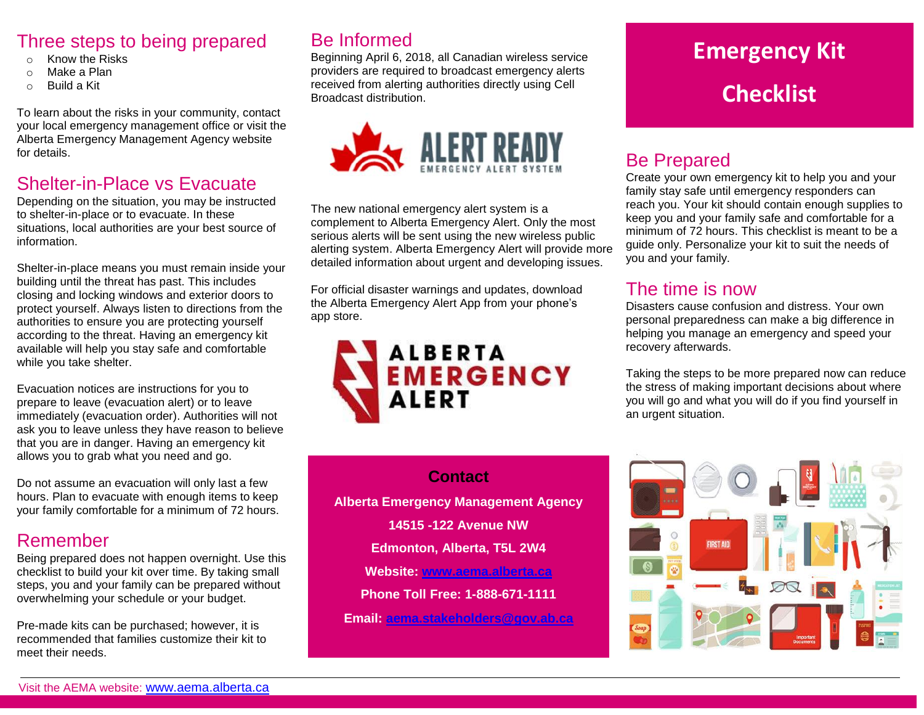#### Three steps to being prepared

- Know the Risks
- o Make a Plan
- o Build a Kit

To learn about the risks in your community, contact your local emergency management office or visit the Alberta Emergency Management Agency website for details.

## Shelter-in-Place vs Evacuate

Depending on the situation, you may be instructed to shelter-in-place or to evacuate. In these situations, local authorities are your best source of information.

Shelter-in-place means you must remain inside your building until the threat has past. This includes closing and locking windows and exterior doors to protect yourself. Always listen to directions from the authorities to ensure you are protecting yourself according to the threat. Having an emergency kit available will help you stay safe and comfortable while you take shelter.

Evacuation notices are instructions for you to prepare to leave (evacuation alert) or to leave immediately (evacuation order). Authorities will not ask you to leave unless they have reason to believe that you are in danger. Having an emergency kit allows you to grab what you need and go.

Do not assume an evacuation will only last a few hours. Plan to evacuate with enough items to keep your family comfortable for a minimum of 72 hours.

#### Remember

Being prepared does not happen overnight. Use this checklist to build your kit over time. By taking small steps, you and your family can be prepared without overwhelming your schedule or your budget.

Pre-made kits can be purchased; however, it is recommended that families customize their kit to meet their needs.

## Be Informed

Beginning April 6, 2018, all Canadian wireless service providers are required to broadcast emergency alerts received from alerting authorities directly using Cell Broadcast distribution.



The new national emergency alert system is a complement to Alberta Emergency Alert. Only the most serious alerts will be sent using the new wireless public alerting system. Alberta Emergency Alert will provide more detailed information about urgent and developing issues.

For official disaster warnings and updates, download the Alberta Emergency Alert App from your phone's app store.



# **Emergency Kit Checklist**

### Be Prepared

Create your own emergency kit to help you and your family stay safe until emergency responders can reach you. Your kit should contain enough supplies to keep you and your family safe and comfortable for a minimum of 72 hours. This checklist is meant to be a guide only. Personalize your kit to suit the needs of you and your family.

#### The time is now

Disasters cause confusion and distress. Your own personal preparedness can make a big difference in helping you manage an emergency and speed your recovery afterwards.

Taking the steps to be more prepared now can reduce the stress of making important decisions about where you will go and what you will do if you find yourself in an urgent situation.



#### **Contact**

**Alberta Emergency Management Agency**

**14515 -122 Avenue NW**

**Edmonton, Alberta, T5L 2W4**

**Website: [www.aema.alberta.ca](http://www.aema.alberta.ca/)**

**Phone Toll Free: 1-888-671-1111** 

**Email: [aema.stakeholders@gov.ab.ca](mailto:aema.stakeholders@gov.ab.ca)**